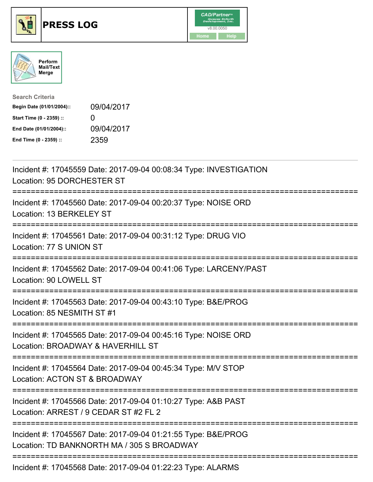





| <b>Search Criteria</b>    |                   |
|---------------------------|-------------------|
| Begin Date (01/01/2004):: | 09/04/2017        |
| Start Time (0 - 2359) ::  | $\mathbf{\Omega}$ |
| End Date (01/01/2004)::   | 09/04/2017        |
| End Time (0 - 2359) ::    | 2359              |

| Incident #: 17045559 Date: 2017-09-04 00:08:34 Type: INVESTIGATION<br>Location: 95 DORCHESTER ST                                        |
|-----------------------------------------------------------------------------------------------------------------------------------------|
| Incident #: 17045560 Date: 2017-09-04 00:20:37 Type: NOISE ORD<br>Location: 13 BERKELEY ST                                              |
| Incident #: 17045561 Date: 2017-09-04 00:31:12 Type: DRUG VIO<br>Location: 77 S UNION ST                                                |
| Incident #: 17045562 Date: 2017-09-04 00:41:06 Type: LARCENY/PAST<br>Location: 90 LOWELL ST<br>---------------                          |
| Incident #: 17045563 Date: 2017-09-04 00:43:10 Type: B&E/PROG<br>Location: 85 NESMITH ST #1                                             |
| Incident #: 17045565 Date: 2017-09-04 00:45:16 Type: NOISE ORD<br>Location: BROADWAY & HAVERHILL ST                                     |
| Incident #: 17045564 Date: 2017-09-04 00:45:34 Type: M/V STOP<br>Location: ACTON ST & BROADWAY<br>==========================            |
| Incident #: 17045566 Date: 2017-09-04 01:10:27 Type: A&B PAST<br>Location: ARREST / 9 CEDAR ST #2 FL 2<br>.---------------------------- |
| Incident #: 17045567 Date: 2017-09-04 01:21:55 Type: B&E/PROG<br>Location: TD BANKNORTH MA / 305 S BROADWAY                             |
| Incident #: 17045568 Date: 2017-09-04 01:22:23 Type: ALARMS                                                                             |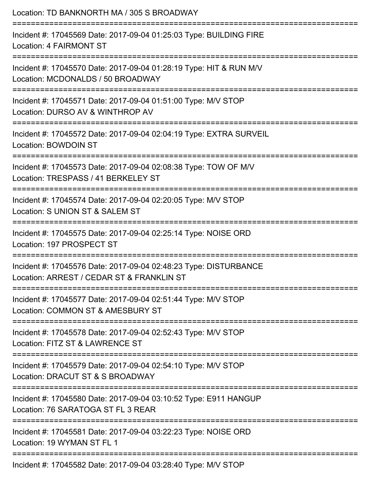| Location: TD BANKNORTH MA / 305 S BROADWAY                                                                                                |
|-------------------------------------------------------------------------------------------------------------------------------------------|
| Incident #: 17045569 Date: 2017-09-04 01:25:03 Type: BUILDING FIRE<br>Location: 4 FAIRMONT ST                                             |
| Incident #: 17045570 Date: 2017-09-04 01:28:19 Type: HIT & RUN M/V<br>Location: MCDONALDS / 50 BROADWAY                                   |
| Incident #: 17045571 Date: 2017-09-04 01:51:00 Type: M/V STOP<br>Location: DURSO AV & WINTHROP AV                                         |
| Incident #: 17045572 Date: 2017-09-04 02:04:19 Type: EXTRA SURVEIL<br>Location: BOWDOIN ST<br>-----------------                           |
| Incident #: 17045573 Date: 2017-09-04 02:08:38 Type: TOW OF M/V<br>Location: TRESPASS / 41 BERKELEY ST<br>:============================== |
| Incident #: 17045574 Date: 2017-09-04 02:20:05 Type: M/V STOP<br>Location: S UNION ST & SALEM ST                                          |
| Incident #: 17045575 Date: 2017-09-04 02:25:14 Type: NOISE ORD<br>Location: 197 PROSPECT ST                                               |
| Incident #: 17045576 Date: 2017-09-04 02:48:23 Type: DISTURBANCE<br>Location: ARREST / CEDAR ST & FRANKLIN ST                             |
| -------------------------------<br>Incident #: 17045577 Date: 2017-09-04 02:51:44 Type: M/V STOP<br>Location: COMMON ST & AMESBURY ST     |
| Incident #: 17045578 Date: 2017-09-04 02:52:43 Type: M/V STOP<br>Location: FITZ ST & LAWRENCE ST                                          |
| Incident #: 17045579 Date: 2017-09-04 02:54:10 Type: M/V STOP<br>Location: DRACUT ST & S BROADWAY                                         |
| :=====================<br>Incident #: 17045580 Date: 2017-09-04 03:10:52 Type: E911 HANGUP<br>Location: 76 SARATOGA ST FL 3 REAR          |
| Incident #: 17045581 Date: 2017-09-04 03:22:23 Type: NOISE ORD<br>Location: 19 WYMAN ST FL 1                                              |
| Incident #: 17045582 Date: 2017-09-04 03:28:40 Type: M/V STOP                                                                             |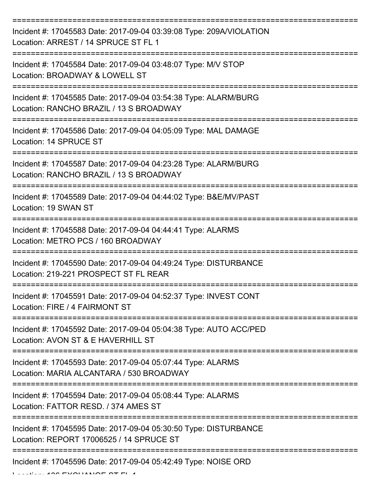| Incident #: 17045583 Date: 2017-09-04 03:39:08 Type: 209A/VIOLATION<br>Location: ARREST / 14 SPRUCE ST FL 1   |
|---------------------------------------------------------------------------------------------------------------|
| Incident #: 17045584 Date: 2017-09-04 03:48:07 Type: M/V STOP<br>Location: BROADWAY & LOWELL ST               |
| Incident #: 17045585 Date: 2017-09-04 03:54:38 Type: ALARM/BURG<br>Location: RANCHO BRAZIL / 13 S BROADWAY    |
| Incident #: 17045586 Date: 2017-09-04 04:05:09 Type: MAL DAMAGE<br>Location: 14 SPRUCE ST                     |
| Incident #: 17045587 Date: 2017-09-04 04:23:28 Type: ALARM/BURG<br>Location: RANCHO BRAZIL / 13 S BROADWAY    |
| =================<br>Incident #: 17045589 Date: 2017-09-04 04:44:02 Type: B&E/MV/PAST<br>Location: 19 SWAN ST |
| Incident #: 17045588 Date: 2017-09-04 04:44:41 Type: ALARMS<br>Location: METRO PCS / 160 BROADWAY             |
| Incident #: 17045590 Date: 2017-09-04 04:49:24 Type: DISTURBANCE<br>Location: 219-221 PROSPECT ST FL REAR     |
| Incident #: 17045591 Date: 2017-09-04 04:52:37 Type: INVEST CONT<br>Location: FIRE / 4 FAIRMONT ST            |
| Incident #: 17045592 Date: 2017-09-04 05:04:38 Type: AUTO ACC/PED<br>Location: AVON ST & E HAVERHILL ST       |
| Incident #: 17045593 Date: 2017-09-04 05:07:44 Type: ALARMS<br>Location: MARIA ALCANTARA / 530 BROADWAY       |
| Incident #: 17045594 Date: 2017-09-04 05:08:44 Type: ALARMS<br>Location: FATTOR RESD, / 374 AMES ST           |
| Incident #: 17045595 Date: 2017-09-04 05:30:50 Type: DISTURBANCE<br>Location: REPORT 17006525 / 14 SPRUCE ST  |
| ---------------------------<br>Incident #: 17045596 Date: 2017-09-04 05:42:49 Type: NOISE ORD                 |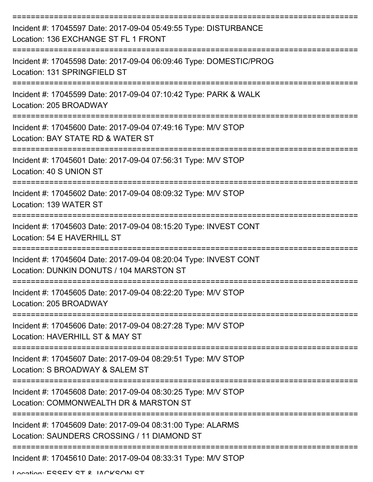| Incident #: 17045597 Date: 2017-09-04 05:49:55 Type: DISTURBANCE<br>Location: 136 EXCHANGE ST FL 1 FRONT     |
|--------------------------------------------------------------------------------------------------------------|
| Incident #: 17045598 Date: 2017-09-04 06:09:46 Type: DOMESTIC/PROG<br>Location: 131 SPRINGFIELD ST           |
| Incident #: 17045599 Date: 2017-09-04 07:10:42 Type: PARK & WALK<br>Location: 205 BROADWAY                   |
| Incident #: 17045600 Date: 2017-09-04 07:49:16 Type: M/V STOP<br>Location: BAY STATE RD & WATER ST           |
| Incident #: 17045601 Date: 2017-09-04 07:56:31 Type: M/V STOP<br>Location: 40 S UNION ST                     |
| Incident #: 17045602 Date: 2017-09-04 08:09:32 Type: M/V STOP<br>Location: 139 WATER ST                      |
| Incident #: 17045603 Date: 2017-09-04 08:15:20 Type: INVEST CONT<br>Location: 54 E HAVERHILL ST              |
| Incident #: 17045604 Date: 2017-09-04 08:20:04 Type: INVEST CONT<br>Location: DUNKIN DONUTS / 104 MARSTON ST |
| Incident #: 17045605 Date: 2017-09-04 08:22:20 Type: M/V STOP<br>Location: 205 BROADWAY                      |
| Incident #: 17045606 Date: 2017-09-04 08:27:28 Type: M/V STOP<br>Location: HAVERHILL ST & MAY ST             |
| Incident #: 17045607 Date: 2017-09-04 08:29:51 Type: M/V STOP<br>Location: S BROADWAY & SALEM ST             |
| Incident #: 17045608 Date: 2017-09-04 08:30:25 Type: M/V STOP<br>Location: COMMONWEALTH DR & MARSTON ST      |
| Incident #: 17045609 Date: 2017-09-04 08:31:00 Type: ALARMS<br>Location: SAUNDERS CROSSING / 11 DIAMOND ST   |
| Incident #: 17045610 Date: 2017-09-04 08:33:31 Type: M/V STOP                                                |

Location: ESSEY ST & JACKSON ST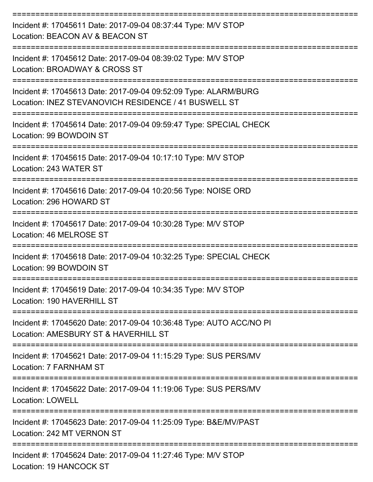| Incident #: 17045611 Date: 2017-09-04 08:37:44 Type: M/V STOP<br>Location: BEACON AV & BEACON ST                        |
|-------------------------------------------------------------------------------------------------------------------------|
| Incident #: 17045612 Date: 2017-09-04 08:39:02 Type: M/V STOP<br>Location: BROADWAY & CROSS ST                          |
| Incident #: 17045613 Date: 2017-09-04 09:52:09 Type: ALARM/BURG<br>Location: INEZ STEVANOVICH RESIDENCE / 41 BUSWELL ST |
| Incident #: 17045614 Date: 2017-09-04 09:59:47 Type: SPECIAL CHECK<br>Location: 99 BOWDOIN ST                           |
| Incident #: 17045615 Date: 2017-09-04 10:17:10 Type: M/V STOP<br>Location: 243 WATER ST                                 |
| Incident #: 17045616 Date: 2017-09-04 10:20:56 Type: NOISE ORD<br>Location: 296 HOWARD ST                               |
| Incident #: 17045617 Date: 2017-09-04 10:30:28 Type: M/V STOP<br>Location: 46 MELROSE ST                                |
| Incident #: 17045618 Date: 2017-09-04 10:32:25 Type: SPECIAL CHECK<br>Location: 99 BOWDOIN ST                           |
| Incident #: 17045619 Date: 2017-09-04 10:34:35 Type: M/V STOP<br>Location: 190 HAVERHILL ST                             |
| Incident #: 17045620 Date: 2017-09-04 10:36:48 Type: AUTO ACC/NO PI<br>Location: AMESBURY ST & HAVERHILL ST             |
| Incident #: 17045621 Date: 2017-09-04 11:15:29 Type: SUS PERS/MV<br>Location: 7 FARNHAM ST                              |
| Incident #: 17045622 Date: 2017-09-04 11:19:06 Type: SUS PERS/MV<br><b>Location: LOWELL</b>                             |
| Incident #: 17045623 Date: 2017-09-04 11:25:09 Type: B&E/MV/PAST<br>Location: 242 MT VERNON ST                          |
| Incident #: 17045624 Date: 2017-09-04 11:27:46 Type: M/V STOP<br>Location: 19 HANCOCK ST                                |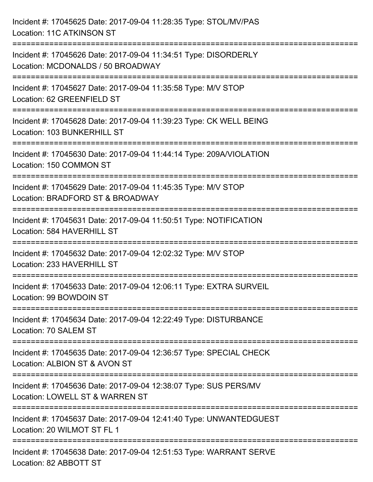| Incident #: 17045625 Date: 2017-09-04 11:28:35 Type: STOL/MV/PAS<br><b>Location: 11C ATKINSON ST</b>                                |
|-------------------------------------------------------------------------------------------------------------------------------------|
| Incident #: 17045626 Date: 2017-09-04 11:34:51 Type: DISORDERLY<br>Location: MCDONALDS / 50 BROADWAY                                |
| Incident #: 17045627 Date: 2017-09-04 11:35:58 Type: M/V STOP<br>Location: 62 GREENFIELD ST                                         |
| Incident #: 17045628 Date: 2017-09-04 11:39:23 Type: CK WELL BEING<br>Location: 103 BUNKERHILL ST                                   |
| Incident #: 17045630 Date: 2017-09-04 11:44:14 Type: 209A/VIOLATION<br>Location: 150 COMMON ST<br>================================= |
| Incident #: 17045629 Date: 2017-09-04 11:45:35 Type: M/V STOP<br>Location: BRADFORD ST & BROADWAY                                   |
| Incident #: 17045631 Date: 2017-09-04 11:50:51 Type: NOTIFICATION<br>Location: 584 HAVERHILL ST                                     |
| Incident #: 17045632 Date: 2017-09-04 12:02:32 Type: M/V STOP<br>Location: 233 HAVERHILL ST                                         |
| Incident #: 17045633 Date: 2017-09-04 12:06:11 Type: EXTRA SURVEIL<br>Location: 99 BOWDOIN ST                                       |
| Incident #: 17045634 Date: 2017-09-04 12:22:49 Type: DISTURBANCE<br>Location: 70 SALEM ST                                           |
| Incident #: 17045635 Date: 2017-09-04 12:36:57 Type: SPECIAL CHECK<br>Location: ALBION ST & AVON ST                                 |
| Incident #: 17045636 Date: 2017-09-04 12:38:07 Type: SUS PERS/MV<br>Location: LOWELL ST & WARREN ST                                 |
| Incident #: 17045637 Date: 2017-09-04 12:41:40 Type: UNWANTEDGUEST<br>Location: 20 WILMOT ST FL 1                                   |
| Incident #: 17045638 Date: 2017-09-04 12:51:53 Type: WARRANT SERVE<br>Location: 82 ABBOTT ST                                        |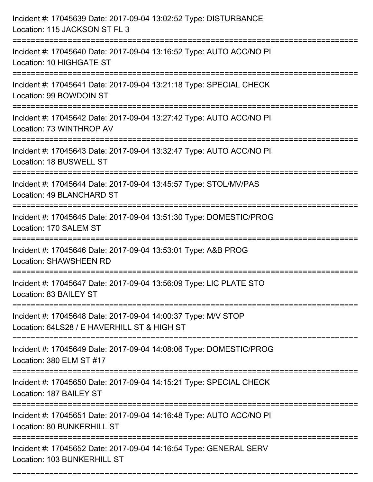| Incident #: 17045639 Date: 2017-09-04 13:02:52 Type: DISTURBANCE<br>Location: 115 JACKSON ST FL 3                                                                                           |
|---------------------------------------------------------------------------------------------------------------------------------------------------------------------------------------------|
| :==================<br>Incident #: 17045640 Date: 2017-09-04 13:16:52 Type: AUTO ACC/NO PI<br>Location: 10 HIGHGATE ST                                                                      |
| Incident #: 17045641 Date: 2017-09-04 13:21:18 Type: SPECIAL CHECK<br>Location: 99 BOWDOIN ST                                                                                               |
| Incident #: 17045642 Date: 2017-09-04 13:27:42 Type: AUTO ACC/NO PI<br>Location: 73 WINTHROP AV                                                                                             |
| Incident #: 17045643 Date: 2017-09-04 13:32:47 Type: AUTO ACC/NO PI<br>Location: 18 BUSWELL ST                                                                                              |
| Incident #: 17045644 Date: 2017-09-04 13:45:57 Type: STOL/MV/PAS<br>Location: 49 BLANCHARD ST                                                                                               |
| Incident #: 17045645 Date: 2017-09-04 13:51:30 Type: DOMESTIC/PROG<br>Location: 170 SALEM ST                                                                                                |
| Incident #: 17045646 Date: 2017-09-04 13:53:01 Type: A&B PROG<br><b>Location: SHAWSHEEN RD</b>                                                                                              |
| Incident #: 17045647 Date: 2017-09-04 13:56:09 Type: LIC PLATE STO<br>Location: 83 BAILEY ST                                                                                                |
| Incident #: 17045648 Date: 2017-09-04 14:00:37 Type: M/V STOP<br>Location: 64LS28 / E HAVERHILL ST & HIGH ST<br>=====================================<br>---------------------------------- |
| Incident #: 17045649 Date: 2017-09-04 14:08:06 Type: DOMESTIC/PROG<br>Location: 380 ELM ST #17                                                                                              |
| Incident #: 17045650 Date: 2017-09-04 14:15:21 Type: SPECIAL CHECK<br>Location: 187 BAILEY ST                                                                                               |
| Incident #: 17045651 Date: 2017-09-04 14:16:48 Type: AUTO ACC/NO PI<br>Location: 80 BUNKERHILL ST                                                                                           |
| Incident #: 17045652 Date: 2017-09-04 14:16:54 Type: GENERAL SERV<br>Location: 103 BUNKERHILL ST                                                                                            |

===========================================================================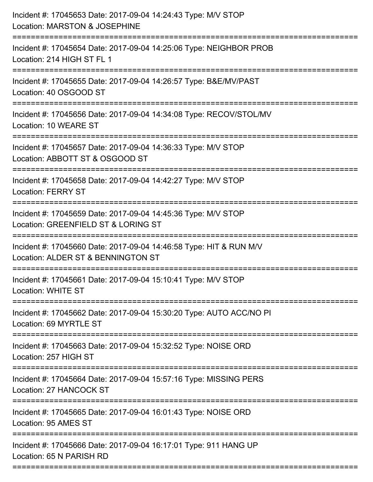| Incident #: 17045653 Date: 2017-09-04 14:24:43 Type: M/V STOP<br>Location: MARSTON & JOSEPHINE                                 |
|--------------------------------------------------------------------------------------------------------------------------------|
| ==================<br>Incident #: 17045654 Date: 2017-09-04 14:25:06 Type: NEIGHBOR PROB<br>Location: 214 HIGH ST FL 1         |
| Incident #: 17045655 Date: 2017-09-04 14:26:57 Type: B&E/MV/PAST<br>Location: 40 OSGOOD ST<br>================================ |
| Incident #: 17045656 Date: 2017-09-04 14:34:08 Type: RECOV/STOL/MV<br>Location: 10 WEARE ST                                    |
| Incident #: 17045657 Date: 2017-09-04 14:36:33 Type: M/V STOP<br>Location: ABBOTT ST & OSGOOD ST                               |
| Incident #: 17045658 Date: 2017-09-04 14:42:27 Type: M/V STOP<br><b>Location: FERRY ST</b>                                     |
| Incident #: 17045659 Date: 2017-09-04 14:45:36 Type: M/V STOP<br>Location: GREENFIELD ST & LORING ST                           |
| Incident #: 17045660 Date: 2017-09-04 14:46:58 Type: HIT & RUN M/V<br>Location: ALDER ST & BENNINGTON ST                       |
| Incident #: 17045661 Date: 2017-09-04 15:10:41 Type: M/V STOP<br>Location: WHITE ST                                            |
| Incident #: 17045662 Date: 2017-09-04 15:30:20 Type: AUTO ACC/NO PI<br>Location: 69 MYRTLE ST                                  |
| Incident #: 17045663 Date: 2017-09-04 15:32:52 Type: NOISE ORD<br>Location: 257 HIGH ST                                        |
| Incident #: 17045664 Date: 2017-09-04 15:57:16 Type: MISSING PERS<br>Location: 27 HANCOCK ST                                   |
| Incident #: 17045665 Date: 2017-09-04 16:01:43 Type: NOISE ORD<br>Location: 95 AMES ST                                         |
| Incident #: 17045666 Date: 2017-09-04 16:17:01 Type: 911 HANG UP<br>Location: 65 N PARISH RD                                   |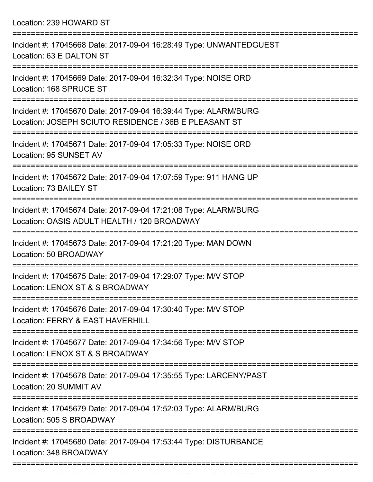Location: 239 HOWARD ST

| Incident #: 17045668 Date: 2017-09-04 16:28:49 Type: UNWANTEDGUEST<br>Location: 63 E DALTON ST                           |
|--------------------------------------------------------------------------------------------------------------------------|
| Incident #: 17045669 Date: 2017-09-04 16:32:34 Type: NOISE ORD<br>Location: 168 SPRUCE ST                                |
| Incident #: 17045670 Date: 2017-09-04 16:39:44 Type: ALARM/BURG<br>Location: JOSEPH SCIUTO RESIDENCE / 36B E PLEASANT ST |
| Incident #: 17045671 Date: 2017-09-04 17:05:33 Type: NOISE ORD<br>Location: 95 SUNSET AV                                 |
| Incident #: 17045672 Date: 2017-09-04 17:07:59 Type: 911 HANG UP<br>Location: 73 BAILEY ST                               |
| Incident #: 17045674 Date: 2017-09-04 17:21:08 Type: ALARM/BURG<br>Location: OASIS ADULT HEALTH / 120 BROADWAY           |
| Incident #: 17045673 Date: 2017-09-04 17:21:20 Type: MAN DOWN<br>Location: 50 BROADWAY                                   |
| Incident #: 17045675 Date: 2017-09-04 17:29:07 Type: M/V STOP<br>Location: LENOX ST & S BROADWAY                         |
| Incident #: 17045676 Date: 2017-09-04 17:30:40 Type: M/V STOP<br>Location: FERRY & EAST HAVERHILL                        |
| Incident #: 17045677 Date: 2017-09-04 17:34:56 Type: M/V STOP<br>Location: LENOX ST & S BROADWAY                         |
| Incident #: 17045678 Date: 2017-09-04 17:35:55 Type: LARCENY/PAST<br>Location: 20 SUMMIT AV                              |
| Incident #: 17045679 Date: 2017-09-04 17:52:03 Type: ALARM/BURG<br>Location: 505 S BROADWAY                              |
| Incident #: 17045680 Date: 2017-09-04 17:53:44 Type: DISTURBANCE<br>Location: 348 BROADWAY                               |
|                                                                                                                          |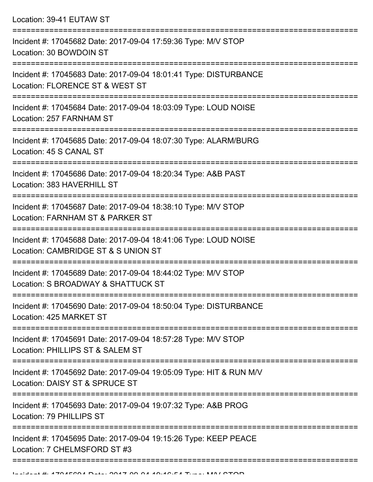Location: 39-41 EUTAW ST

| Incident #: 17045682 Date: 2017-09-04 17:59:36 Type: M/V STOP<br>Location: 30 BOWDOIN ST                              |
|-----------------------------------------------------------------------------------------------------------------------|
| Incident #: 17045683 Date: 2017-09-04 18:01:41 Type: DISTURBANCE<br>Location: FLORENCE ST & WEST ST                   |
| Incident #: 17045684 Date: 2017-09-04 18:03:09 Type: LOUD NOISE<br>Location: 257 FARNHAM ST                           |
| Incident #: 17045685 Date: 2017-09-04 18:07:30 Type: ALARM/BURG<br>Location: 45 S CANAL ST                            |
| Incident #: 17045686 Date: 2017-09-04 18:20:34 Type: A&B PAST<br>Location: 383 HAVERHILL ST                           |
| Incident #: 17045687 Date: 2017-09-04 18:38:10 Type: M/V STOP<br>Location: FARNHAM ST & PARKER ST                     |
| Incident #: 17045688 Date: 2017-09-04 18:41:06 Type: LOUD NOISE<br>Location: CAMBRIDGE ST & S UNION ST                |
| Incident #: 17045689 Date: 2017-09-04 18:44:02 Type: M/V STOP<br>Location: S BROADWAY & SHATTUCK ST                   |
| Incident #: 17045690 Date: 2017-09-04 18:50:04 Type: DISTURBANCE<br>Location: 425 MARKET ST                           |
| ----------------<br>Incident #: 17045691 Date: 2017-09-04 18:57:28 Type: M/V STOP<br>Location: PHILLIPS ST & SALEM ST |
| Incident #: 17045692 Date: 2017-09-04 19:05:09 Type: HIT & RUN M/V<br>Location: DAISY ST & SPRUCE ST                  |
| Incident #: 17045693 Date: 2017-09-04 19:07:32 Type: A&B PROG<br>Location: 79 PHILLIPS ST                             |
| Incident #: 17045695 Date: 2017-09-04 19:15:26 Type: KEEP PEACE<br>Location: 7 CHELMSFORD ST #3                       |
|                                                                                                                       |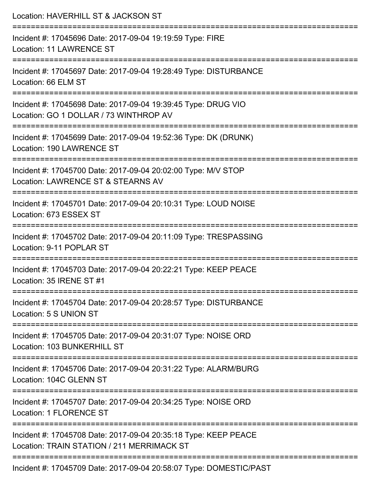| Location: HAVERHILL ST & JACKSON ST                                                                                       |
|---------------------------------------------------------------------------------------------------------------------------|
| Incident #: 17045696 Date: 2017-09-04 19:19:59 Type: FIRE<br><b>Location: 11 LAWRENCE ST</b>                              |
| Incident #: 17045697 Date: 2017-09-04 19:28:49 Type: DISTURBANCE<br>Location: 66 ELM ST                                   |
| Incident #: 17045698 Date: 2017-09-04 19:39:45 Type: DRUG VIO<br>Location: GO 1 DOLLAR / 73 WINTHROP AV                   |
| -------------------------<br>Incident #: 17045699 Date: 2017-09-04 19:52:36 Type: DK (DRUNK)<br>Location: 190 LAWRENCE ST |
| Incident #: 17045700 Date: 2017-09-04 20:02:00 Type: M/V STOP<br>Location: LAWRENCE ST & STEARNS AV                       |
| Incident #: 17045701 Date: 2017-09-04 20:10:31 Type: LOUD NOISE<br>Location: 673 ESSEX ST                                 |
| Incident #: 17045702 Date: 2017-09-04 20:11:09 Type: TRESPASSING<br>Location: 9-11 POPLAR ST                              |
| Incident #: 17045703 Date: 2017-09-04 20:22:21 Type: KEEP PEACE<br>Location: 35 IRENE ST #1                               |
| Incident #: 17045704 Date: 2017-09-04 20:28:57 Type: DISTURBANCE<br>Location: 5 S UNION ST                                |
| Incident #: 17045705 Date: 2017-09-04 20:31:07 Type: NOISE ORD<br>Location: 103 BUNKERHILL ST                             |
| Incident #: 17045706 Date: 2017-09-04 20:31:22 Type: ALARM/BURG<br>Location: 104C GLENN ST                                |
| Incident #: 17045707 Date: 2017-09-04 20:34:25 Type: NOISE ORD<br><b>Location: 1 FLORENCE ST</b>                          |
| Incident #: 17045708 Date: 2017-09-04 20:35:18 Type: KEEP PEACE<br>Location: TRAIN STATION / 211 MERRIMACK ST             |
| Incident #: 17045709 Date: 2017-09-04 20:58:07 Type: DOMESTIC/PAST                                                        |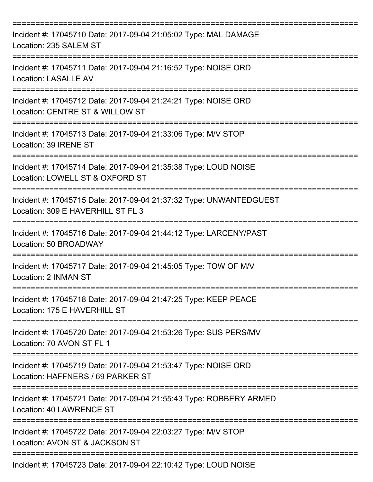| Incident #: 17045710 Date: 2017-09-04 21:05:02 Type: MAL DAMAGE<br>Location: 235 SALEM ST               |
|---------------------------------------------------------------------------------------------------------|
| Incident #: 17045711 Date: 2017-09-04 21:16:52 Type: NOISE ORD<br>Location: LASALLE AV                  |
| Incident #: 17045712 Date: 2017-09-04 21:24:21 Type: NOISE ORD<br>Location: CENTRE ST & WILLOW ST       |
| Incident #: 17045713 Date: 2017-09-04 21:33:06 Type: M/V STOP<br>Location: 39 IRENE ST                  |
| Incident #: 17045714 Date: 2017-09-04 21:35:38 Type: LOUD NOISE<br>Location: LOWELL ST & OXFORD ST      |
| Incident #: 17045715 Date: 2017-09-04 21:37:32 Type: UNWANTEDGUEST<br>Location: 309 E HAVERHILL ST FL 3 |
| Incident #: 17045716 Date: 2017-09-04 21:44:12 Type: LARCENY/PAST<br>Location: 50 BROADWAY              |
| Incident #: 17045717 Date: 2017-09-04 21:45:05 Type: TOW OF M/V<br>Location: 2 INMAN ST                 |
| Incident #: 17045718 Date: 2017-09-04 21:47:25 Type: KEEP PEACE<br>Location: 175 E HAVERHILL ST         |
| Incident #: 17045720 Date: 2017-09-04 21:53:26 Type: SUS PERS/MV<br>Location: 70 AVON ST FL 1           |
| Incident #: 17045719 Date: 2017-09-04 21:53:47 Type: NOISE ORD<br>Location: HAFFNERS / 69 PARKER ST     |
| Incident #: 17045721 Date: 2017-09-04 21:55:43 Type: ROBBERY ARMED<br><b>Location: 40 LAWRENCE ST</b>   |
| Incident #: 17045722 Date: 2017-09-04 22:03:27 Type: M/V STOP<br>Location: AVON ST & JACKSON ST         |
| Incident #: 17045723 Date: 2017-09-04 22:10:42 Type: LOUD NOISE                                         |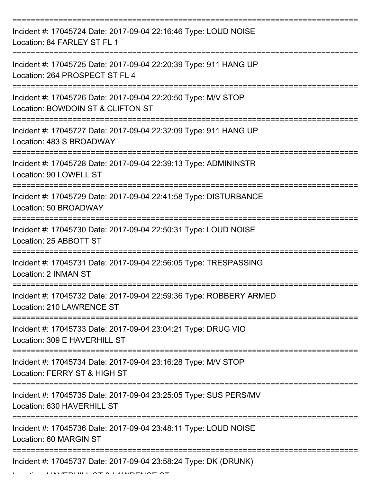| Incident #: 17045724 Date: 2017-09-04 22:16:46 Type: LOUD NOISE<br>Location: 84 FARLEY ST FL 1          |
|---------------------------------------------------------------------------------------------------------|
| Incident #: 17045725 Date: 2017-09-04 22:20:39 Type: 911 HANG UP<br>Location: 264 PROSPECT ST FL 4      |
| Incident #: 17045726 Date: 2017-09-04 22:20:50 Type: M/V STOP<br>Location: BOWDOIN ST & CLIFTON ST      |
| Incident #: 17045727 Date: 2017-09-04 22:32:09 Type: 911 HANG UP<br>Location: 483 S BROADWAY            |
| Incident #: 17045728 Date: 2017-09-04 22:39:13 Type: ADMININSTR<br>Location: 90 LOWELL ST               |
| Incident #: 17045729 Date: 2017-09-04 22:41:58 Type: DISTURBANCE<br>Location: 50 BROADWAY               |
| Incident #: 17045730 Date: 2017-09-04 22:50:31 Type: LOUD NOISE<br>Location: 25 ABBOTT ST               |
| ===========<br>Incident #: 17045731 Date: 2017-09-04 22:56:05 Type: TRESPASSING<br>Location: 2 INMAN ST |
| Incident #: 17045732 Date: 2017-09-04 22:59:36 Type: ROBBERY ARMED<br>Location: 210 LAWRENCE ST         |
| Incident #: 17045733 Date: 2017-09-04 23:04:21 Type: DRUG VIO<br>Location: 309 E HAVERHILL ST           |
| Incident #: 17045734 Date: 2017-09-04 23:16:28 Type: M/V STOP<br>Location: FERRY ST & HIGH ST           |
| Incident #: 17045735 Date: 2017-09-04 23:25:05 Type: SUS PERS/MV<br>Location: 630 HAVERHILL ST          |
| Incident #: 17045736 Date: 2017-09-04 23:48:11 Type: LOUD NOISE<br>Location: 60 MARGIN ST               |
| Incident #: 17045737 Date: 2017-09-04 23:58:24 Type: DK (DRUNK)                                         |